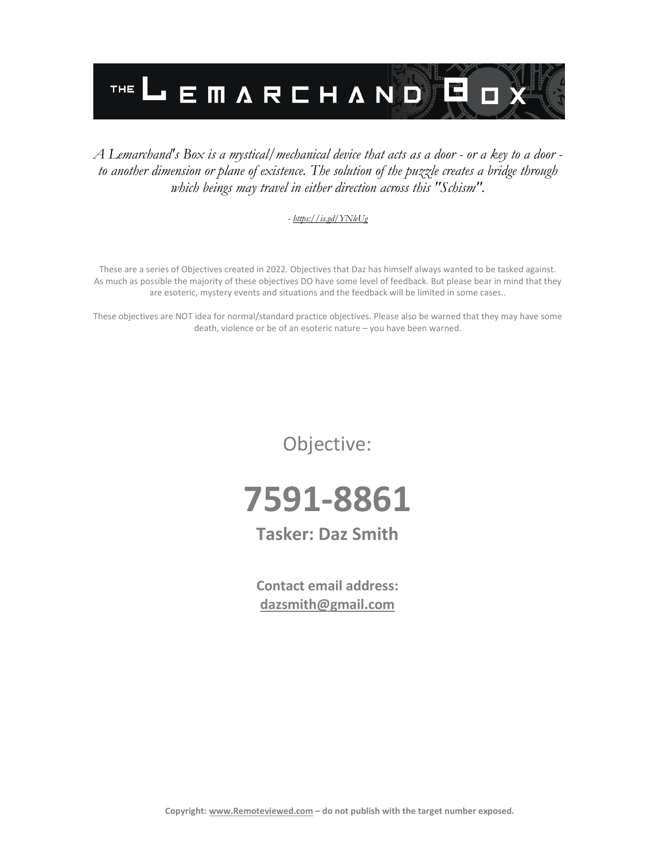

#### *A Lemarchand's Box is a mystical/mechanical device that acts as a door - or a key to a door to another dimension or plane of existence. The solution of the puzzle creates a bridge through which beings may travel in either direction across this "Schism".*

#### *- <https://is.gd/YNleUg>*

These are a series of Objectives created in 2022. Objectives that Daz has himself always wanted to be tasked against. As much as possible the majority of these objectives DO have some level of feedback. But please bear in mind that they are esoteric, mystery events and situations and the feedback will be limited in some cases..

These objectives are NOT idea for normal/standard practice objectives. Please also be warned that they may have some death, violence or be of an esoteric nature – you have been warned.

Objective:



## **Tasker: Daz Smith**

**Contact email address: [dazsmith@gmail.com](mailto:dazsmith@gmail.com)**